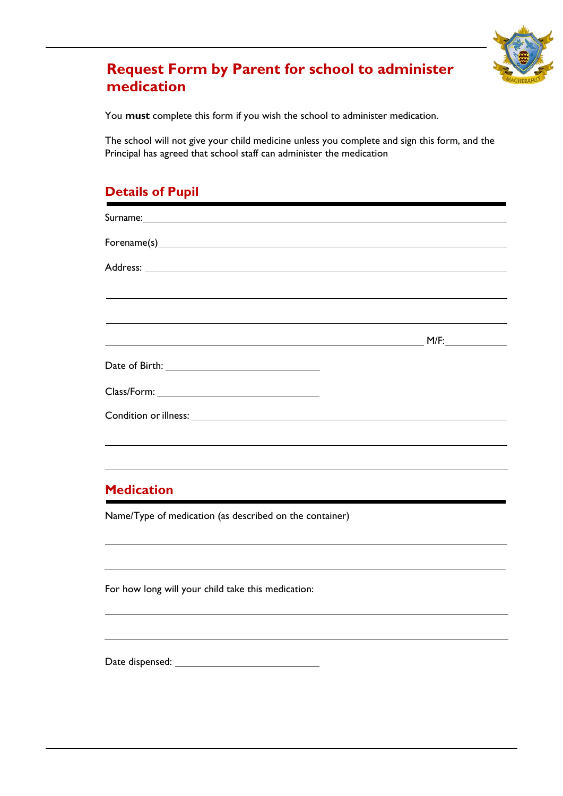

## **Request Form by Parent for school to administer medication**

You **must** complete this form if you wish the school to administer medication.

The school will not give your child medicine unless you complete and sign this form, and the Principal has agreed that school staff can administer the medication

### **Details of Pupil**

| Surname: <u>Communication and Communication and Communication and Communication and Communication and Communication</u> |      |
|-------------------------------------------------------------------------------------------------------------------------|------|
| $\text{Forename(s)}$                                                                                                    |      |
|                                                                                                                         |      |
|                                                                                                                         |      |
|                                                                                                                         |      |
| <u> 1989 - Johann John Stone, markin sanadi ya kutoka mwaka wa 1989 - Amerika mwaka wa 1989 - Amerika mwaka wa 19</u>   | M/F: |
|                                                                                                                         |      |
|                                                                                                                         |      |
|                                                                                                                         |      |
|                                                                                                                         |      |

#### **Medication**

Name/Type of medication (as described on the container)

For how long will your child take this medication:

Date dispensed: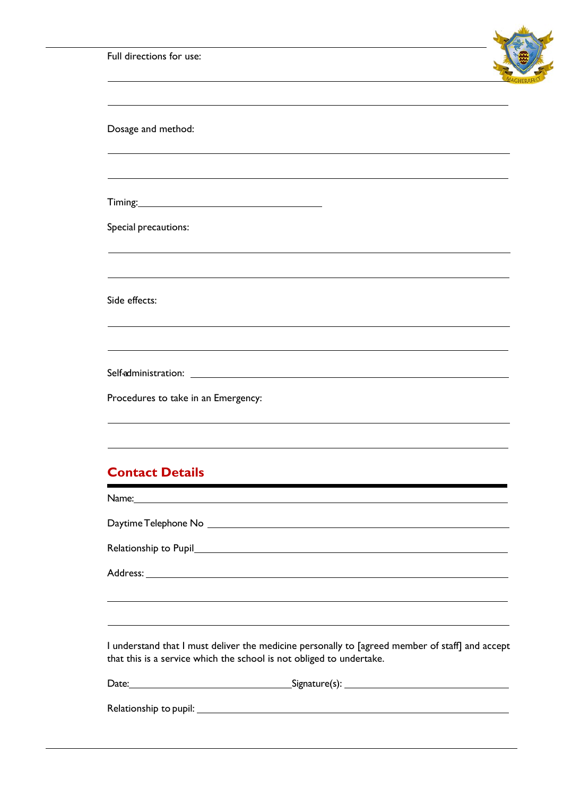|  |  | Full directions for use: |  |  |
|--|--|--------------------------|--|--|
|--|--|--------------------------|--|--|



| Dosage and method:                                                               |  |
|----------------------------------------------------------------------------------|--|
| ,我们也不能在这里的时候,我们也不能在这里的时候,我们也不能会在这里的时候,我们也不能会在这里的时候,我们也不能会在这里的时候,我们也不能会在这里的时候,我们也 |  |
|                                                                                  |  |
| Special precautions:                                                             |  |
|                                                                                  |  |
| Side effects:                                                                    |  |
|                                                                                  |  |
|                                                                                  |  |
| Procedures to take in an Emergency:                                              |  |
|                                                                                  |  |

#### **Contact Details**

Name: Daytime Telephone No

Relationship to Pupil

Address: **Address: Address: Address: Address: Address: Address: Address: Address: Address: Address: Address: Address: Address: Address: Address: Address: Address: Address: Address: Add** 

I understand that I must deliver the medicine personally to [agreed member of staff] and accept that this is a service which the school is not obliged to undertake.

| Date:                  |  |
|------------------------|--|
|                        |  |
| Relationship to pupil: |  |
|                        |  |